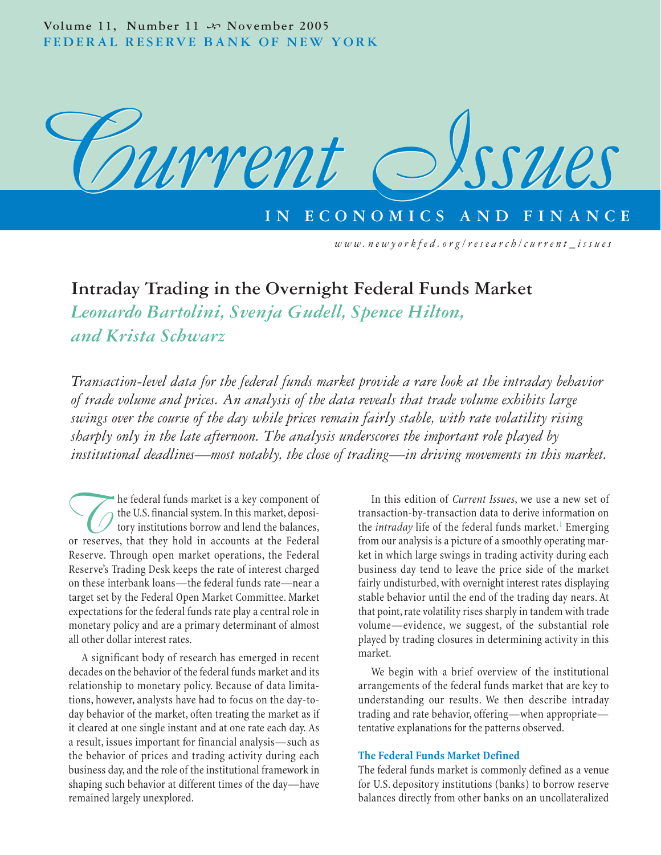

# **Intraday Trading in the Overnight Federal Funds Market**

*Leonardo Bartolini, Svenja Gudell, Spence Hilton, and Krista Schwarz*

*Transaction-level data for the federal funds market provide a rare look at the intraday behavior of trade volume and prices. An analysis of the data reveals that trade volume exhibits large swings over the course of the day while prices remain fairly stable, with rate volatility rising sharply only in the late afternoon. The analysis underscores the important role played by institutional deadlines—most notably, the close of trading—in driving movements in this market.*

**The federal funds market is a key component of** the U.S. financial system. In this market, depository institutions borrow and lend the balances, or reserves, that they hold in accounts at the Federal the U.S. financial system. In this market, depository institutions borrow and lend the balances, Reserve. Through open market operations, the Federal Reserve's Trading Desk keeps the rate of interest charged on these interbank loans—the federal funds rate—near a target set by the Federal Open Market Committee. Market expectations for the federal funds rate play a central role in monetary policy and are a primary determinant of almost all other dollar interest rates.

A significant body of research has emerged in recent decades on the behavior of the federal funds market and its relationship to monetary policy. Because of data limitations, however, analysts have had to focus on the day-today behavior of the market, often treating the market as if it cleared at one single instant and at one rate each day. As a result, issues important for financial analysis—such as the behavior of prices and trading activity during each business day, and the role of the institutional framework in shaping such behavior at different times of the day—have remained largely unexplored.

In this edition of *Current Issues*, we use a new set of transaction-by-transaction data to derive information on the *intraday* life of the federal funds market.<sup>1</sup> Emerging from our analysis is a picture of a smoothly operating market in which large swings in trading activity during each business day tend to leave the price side of the market fairly undisturbed, with overnight interest rates displaying stable behavior until the end of the trading day nears. At that point, rate volatility rises sharply in tandem with trade volume—evidence, we suggest, of the substantial role played by trading closures in determining activity in this market.

We begin with a brief overview of the institutional arrangements of the federal funds market that are key to understanding our results. We then describe intraday trading and rate behavior, offering—when appropriate tentative explanations for the patterns observed.

# **The Federal Funds Market Defined**

The federal funds market is commonly defined as a venue for U.S. depository institutions (banks) to borrow reserve balances directly from other banks on an uncollateralized

*www.newyorkfed.org/research/current\_issues*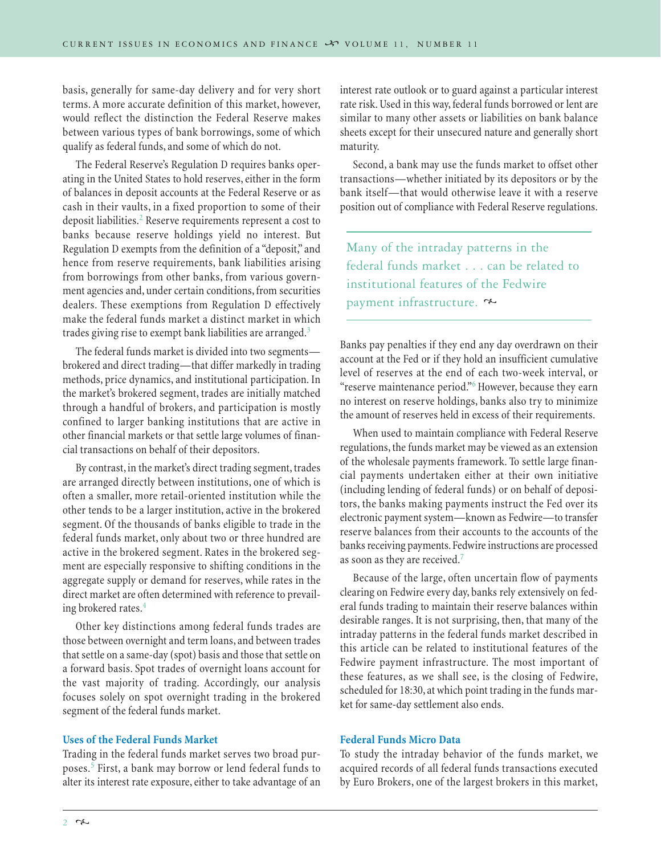basis, generally for same-day delivery and for very short terms. A more accurate definition of this market, however, would reflect the distinction the Federal Reserve makes between various types of bank borrowings, some of which qualify as federal funds, and some of which do not.

The Federal Reserve's Regulation D requires banks operating in the United States to hold reserves, either in the form of balances in deposit accounts at the Federal Reserve or as cash in their vaults, in a fixed proportion to some of their deposit liabilities.<sup>2</sup> Reserve requirements represent a cost to banks because reserve holdings yield no interest. But Regulation D exempts from the definition of a "deposit," and hence from reserve requirements, bank liabilities arising from borrowings from other banks, from various government agencies and, under certain conditions, from securities dealers. These exemptions from Regulation D effectively make the federal funds market a distinct market in which trades giving rise to exempt bank liabilities are arranged.<sup>3</sup>

The federal funds market is divided into two segments brokered and direct trading—that differ markedly in trading methods, price dynamics, and institutional participation. In the market's brokered segment, trades are initially matched through a handful of brokers, and participation is mostly confined to larger banking institutions that are active in other financial markets or that settle large volumes of financial transactions on behalf of their depositors.

By contrast, in the market's direct trading segment, trades are arranged directly between institutions, one of which is often a smaller, more retail-oriented institution while the other tends to be a larger institution, active in the brokered segment. Of the thousands of banks eligible to trade in the federal funds market, only about two or three hundred are active in the brokered segment. Rates in the brokered segment are especially responsive to shifting conditions in the aggregate supply or demand for reserves, while rates in the direct market are often determined with reference to prevailing brokered rates.<sup>4</sup>

Other key distinctions among federal funds trades are those between overnight and term loans, and between trades that settle on a same-day (spot) basis and those that settle on a forward basis. Spot trades of overnight loans account for the vast majority of trading. Accordingly, our analysis focuses solely on spot overnight trading in the brokered segment of the federal funds market.

# **Uses of the Federal Funds Market**

Trading in the federal funds market serves two broad purposes.<sup>5</sup> First, a bank may borrow or lend federal funds to alter its interest rate exposure, either to take advantage of an interest rate outlook or to guard against a particular interest rate risk. Used in this way, federal funds borrowed or lent are similar to many other assets or liabilities on bank balance sheets except for their unsecured nature and generally short maturity.

Second, a bank may use the funds market to offset other transactions—whether initiated by its depositors or by the bank itself—that would otherwise leave it with a reserve position out of compliance with Federal Reserve regulations.

Many of the intraday patterns in the federal funds market . . . can be related to institutional features of the Fedwire payment infrastructure.

Banks pay penalties if they end any day overdrawn on their account at the Fed or if they hold an insufficient cumulative level of reserves at the end of each two-week interval, or "reserve maintenance period."6 However, because they earn no interest on reserve holdings, banks also try to minimize the amount of reserves held in excess of their requirements.

When used to maintain compliance with Federal Reserve regulations, the funds market may be viewed as an extension of the wholesale payments framework. To settle large financial payments undertaken either at their own initiative (including lending of federal funds) or on behalf of depositors, the banks making payments instruct the Fed over its electronic payment system—known as Fedwire—to transfer reserve balances from their accounts to the accounts of the banks receiving payments. Fedwire instructions are processed as soon as they are received.<sup>7</sup>

Because of the large, often uncertain flow of payments clearing on Fedwire every day, banks rely extensively on federal funds trading to maintain their reserve balances within desirable ranges. It is not surprising, then, that many of the intraday patterns in the federal funds market described in this article can be related to institutional features of the Fedwire payment infrastructure. The most important of these features, as we shall see, is the closing of Fedwire, scheduled for 18:30, at which point trading in the funds market for same-day settlement also ends.

## **Federal Funds Micro Data**

To study the intraday behavior of the funds market, we acquired records of all federal funds transactions executed by Euro Brokers, one of the largest brokers in this market,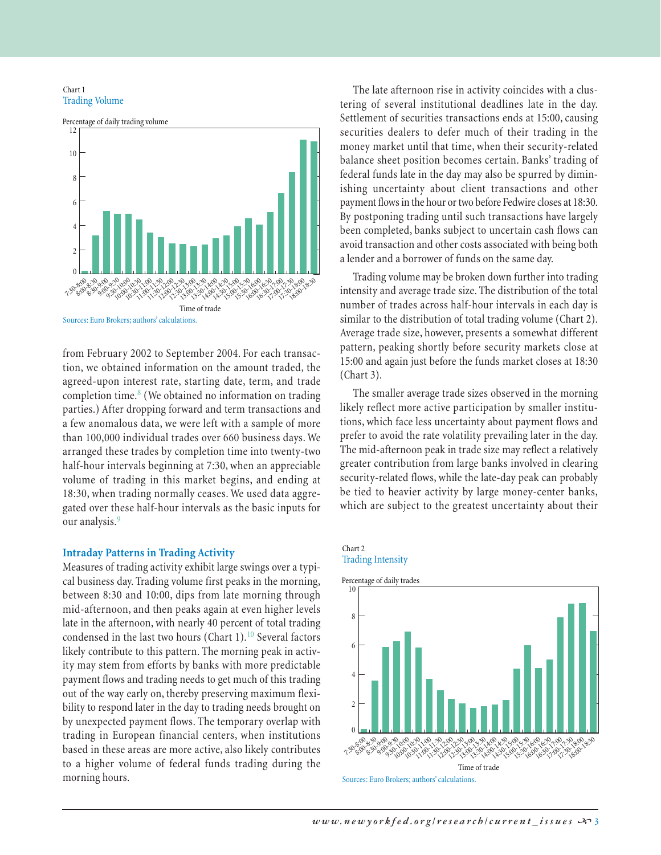#### Chart 1 Trading Volume



from February 2002 to September 2004. For each transaction, we obtained information on the amount traded, the agreed-upon interest rate, starting date, term, and trade completion time. $8$  (We obtained no information on trading parties.) After dropping forward and term transactions and a few anomalous data, we were left with a sample of more than 100,000 individual trades over 660 business days. We arranged these trades by completion time into twenty-two half-hour intervals beginning at 7:30, when an appreciable volume of trading in this market begins, and ending at 18:30, when trading normally ceases. We used data aggregated over these half-hour intervals as the basic inputs for our analysis.<sup>9</sup>

# **Intraday Patterns in Trading Activity**

Measures of trading activity exhibit large swings over a typical business day. Trading volume first peaks in the morning, between 8:30 and 10:00, dips from late morning through mid-afternoon, and then peaks again at even higher levels late in the afternoon, with nearly 40 percent of total trading condensed in the last two hours (Chart 1).<sup>10</sup> Several factors likely contribute to this pattern. The morning peak in activity may stem from efforts by banks with more predictable payment flows and trading needs to get much of this trading out of the way early on, thereby preserving maximum flexibility to respond later in the day to trading needs brought on by unexpected payment flows. The temporary overlap with trading in European financial centers, when institutions based in these areas are more active, also likely contributes to a higher volume of federal funds trading during the morning hours.

The late afternoon rise in activity coincides with a clustering of several institutional deadlines late in the day. Settlement of securities transactions ends at 15:00, causing securities dealers to defer much of their trading in the money market until that time, when their security-related balance sheet position becomes certain. Banks' trading of federal funds late in the day may also be spurred by diminishing uncertainty about client transactions and other payment flows in the hour or two before Fedwire closes at 18:30. By postponing trading until such transactions have largely been completed, banks subject to uncertain cash flows can avoid transaction and other costs associated with being both a lender and a borrower of funds on the same day.

Trading volume may be broken down further into trading intensity and average trade size. The distribution of the total number of trades across half-hour intervals in each day is similar to the distribution of total trading volume (Chart 2). Average trade size, however, presents a somewhat different pattern, peaking shortly before security markets close at 15:00 and again just before the funds market closes at 18:30 (Chart 3).

The smaller average trade sizes observed in the morning likely reflect more active participation by smaller institutions, which face less uncertainty about payment flows and prefer to avoid the rate volatility prevailing later in the day. The mid-afternoon peak in trade size may reflect a relatively greater contribution from large banks involved in clearing security-related flows, while the late-day peak can probably be tied to heavier activity by large money-center banks, which are subject to the greatest uncertainty about their

#### Chart 2 Trading Intensity

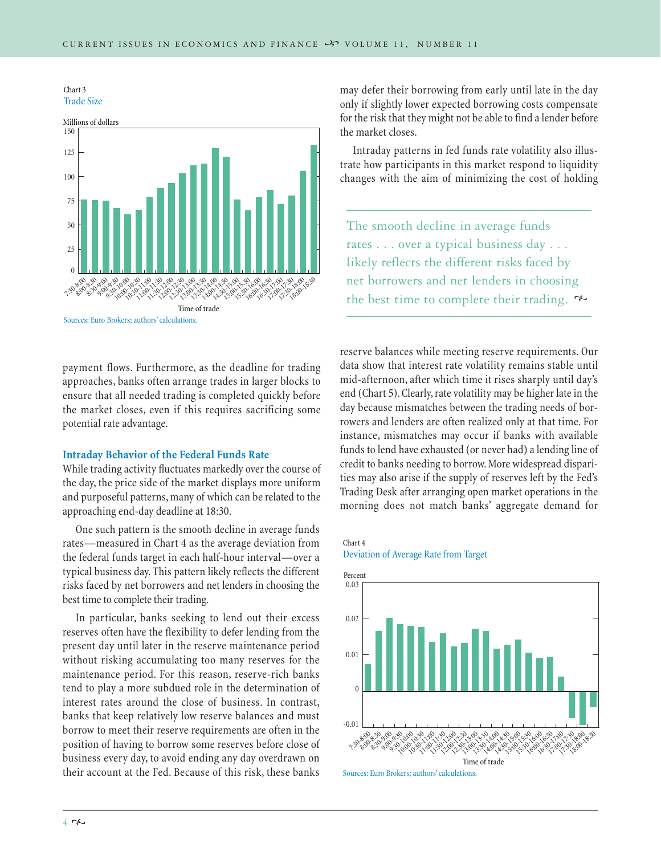



payment flows. Furthermore, as the deadline for trading approaches, banks often arrange trades in larger blocks to ensure that all needed trading is completed quickly before the market closes, even if this requires sacrificing some potential rate advantage.

## **Intraday Behavior of the Federal Funds Rate**

While trading activity fluctuates markedly over the course of the day, the price side of the market displays more uniform and purposeful patterns, many of which can be related to the approaching end-day deadline at 18:30.

One such pattern is the smooth decline in average funds rates—measured in Chart 4 as the average deviation from the federal funds target in each half-hour interval—over a typical business day. This pattern likely reflects the different risks faced by net borrowers and net lenders in choosing the best time to complete their trading.

In particular, banks seeking to lend out their excess reserves often have the flexibility to defer lending from the present day until later in the reserve maintenance period without risking accumulating too many reserves for the maintenance period. For this reason, reserve-rich banks tend to play a more subdued role in the determination of interest rates around the close of business. In contrast, banks that keep relatively low reserve balances and must borrow to meet their reserve requirements are often in the position of having to borrow some reserves before close of business every day, to avoid ending any day overdrawn on their account at the Fed. Because of this risk, these banks may defer their borrowing from early until late in the day only if slightly lower expected borrowing costs compensate for the risk that they might not be able to find a lender before the market closes.

Intraday patterns in fed funds rate volatility also illustrate how participants in this market respond to liquidity changes with the aim of minimizing the cost of holding

The smooth decline in average funds rates . . . over a typical business day . . . likely reflects the different risks faced by net borrowers and net lenders in choosing the best time to complete their trading.  $\sim$ 

reserve balances while meeting reserve requirements. Our data show that interest rate volatility remains stable until mid-afternoon, after which time it rises sharply until day's end (Chart 5). Clearly, rate volatility may be higher late in the day because mismatches between the trading needs of borrowers and lenders are often realized only at that time. For instance, mismatches may occur if banks with available funds to lend have exhausted (or never had) a lending line of credit to banks needing to borrow. More widespread disparities may also arise if the supply of reserves left by the Fed's Trading Desk after arranging open market operations in the morning does not match banks' aggregate demand for

Chart 4 Deviation of Average Rate from Target



Sources: Euro Brokers; authors' calculations.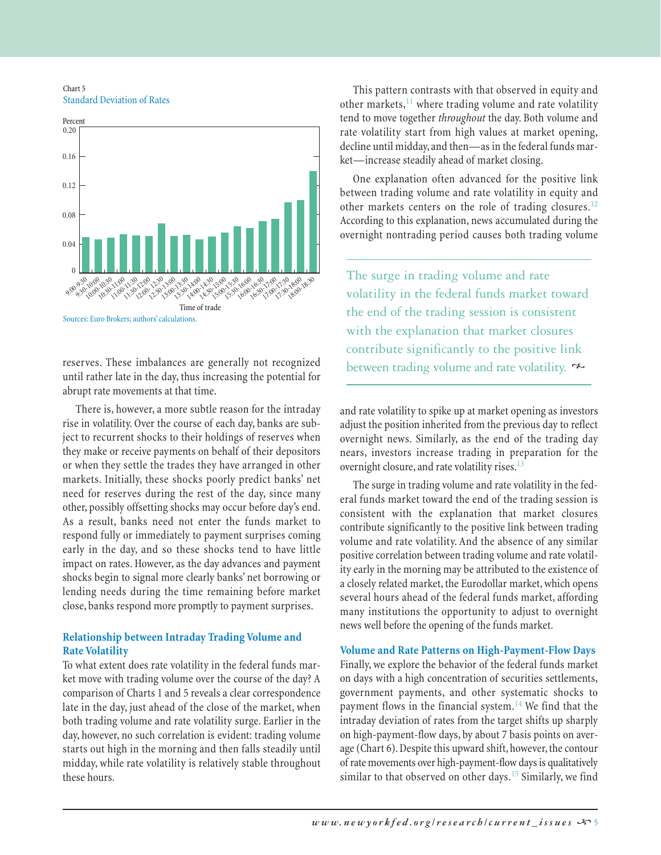Chart 5 Standard Deviation of Rates



reserves. These imbalances are generally not recognized until rather late in the day, thus increasing the potential for abrupt rate movements at that time.

There is, however, a more subtle reason for the intraday rise in volatility. Over the course of each day, banks are subject to recurrent shocks to their holdings of reserves when they make or receive payments on behalf of their depositors or when they settle the trades they have arranged in other markets. Initially, these shocks poorly predict banks' net need for reserves during the rest of the day, since many other, possibly offsetting shocks may occur before day's end. As a result, banks need not enter the funds market to respond fully or immediately to payment surprises coming early in the day, and so these shocks tend to have little impact on rates. However, as the day advances and payment shocks begin to signal more clearly banks' net borrowing or lending needs during the time remaining before market close, banks respond more promptly to payment surprises.

# **Relationship between Intraday Trading Volume and Rate Volatility**

To what extent does rate volatility in the federal funds market move with trading volume over the course of the day? A comparison of Charts 1 and 5 reveals a clear correspondence late in the day, just ahead of the close of the market, when both trading volume and rate volatility surge. Earlier in the day, however, no such correlation is evident: trading volume starts out high in the morning and then falls steadily until midday, while rate volatility is relatively stable throughout these hours.

This pattern contrasts with that observed in equity and other markets, $11$  where trading volume and rate volatility tend to move together *throughout* the day. Both volume and rate volatility start from high values at market opening, decline until midday, and then—as in the federal funds market—increase steadily ahead of market closing.

One explanation often advanced for the positive link between trading volume and rate volatility in equity and other markets centers on the role of trading closures.<sup>12</sup> According to this explanation, news accumulated during the overnight nontrading period causes both trading volume

The surge in trading volume and rate volatility in the federal funds market toward the end of the trading session is consistent with the explanation that market closures contribute significantly to the positive link between trading volume and rate volatility.

and rate volatility to spike up at market opening as investors adjust the position inherited from the previous day to reflect overnight news. Similarly, as the end of the trading day nears, investors increase trading in preparation for the overnight closure, and rate volatility rises.<sup>13</sup>

The surge in trading volume and rate volatility in the federal funds market toward the end of the trading session is consistent with the explanation that market closures contribute significantly to the positive link between trading volume and rate volatility. And the absence of any similar positive correlation between trading volume and rate volatility early in the morning may be attributed to the existence of a closely related market, the Eurodollar market, which opens several hours ahead of the federal funds market, affording many institutions the opportunity to adjust to overnight news well before the opening of the funds market.

# **Volume and Rate Patterns on High-Payment-Flow Days**

Finally, we explore the behavior of the federal funds market on days with a high concentration of securities settlements, government payments, and other systematic shocks to payment flows in the financial system.<sup>14</sup> We find that the intraday deviation of rates from the target shifts up sharply on high-payment-flow days, by about 7 basis points on average (Chart 6). Despite this upward shift, however, the contour of rate movements over high-payment-flow days is qualitatively similar to that observed on other days.<sup>15</sup> Similarly, we find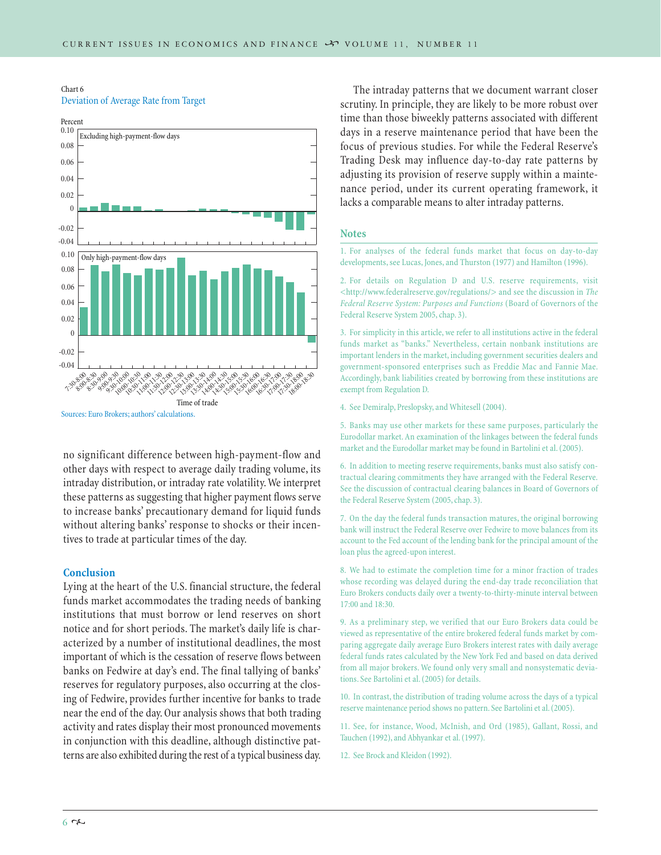Chart 6 Deviation of Average Rate from Target



no significant difference between high-payment-flow and other days with respect to average daily trading volume, its intraday distribution, or intraday rate volatility. We interpret these patterns as suggesting that higher payment flows serve to increase banks' precautionary demand for liquid funds without altering banks' response to shocks or their incentives to trade at particular times of the day.

#### **Conclusion**

Lying at the heart of the U.S. financial structure, the federal funds market accommodates the trading needs of banking institutions that must borrow or lend reserves on short notice and for short periods. The market's daily life is characterized by a number of institutional deadlines, the most important of which is the cessation of reserve flows between banks on Fedwire at day's end. The final tallying of banks' reserves for regulatory purposes, also occurring at the closing of Fedwire, provides further incentive for banks to trade near the end of the day. Our analysis shows that both trading activity and rates display their most pronounced movements in conjunction with this deadline, although distinctive patterns are also exhibited during the rest of a typical business day.

The intraday patterns that we document warrant closer scrutiny. In principle, they are likely to be more robust over time than those biweekly patterns associated with different days in a reserve maintenance period that have been the focus of previous studies. For while the Federal Reserve's Trading Desk may influence day-to-day rate patterns by adjusting its provision of reserve supply within a maintenance period, under its current operating framework, it lacks a comparable means to alter intraday patterns.

#### **Notes**

1. For analyses of the federal funds market that focus on day-to-day developments, see Lucas, Jones, and Thurston (1977) and Hamilton (1996).

2. For details on Regulation D and U.S. reserve requirements, visit <http://www.federalreserve.gov/regulations/> and see the discussion in *The Federal Reserve System: Purposes and Functions* (Board of Governors of the Federal Reserve System 2005, chap. 3).

3. For simplicity in this article, we refer to all institutions active in the federal funds market as "banks." Nevertheless, certain nonbank institutions are important lenders in the market, including government securities dealers and government-sponsored enterprises such as Freddie Mac and Fannie Mae. Accordingly, bank liabilities created by borrowing from these institutions are exempt from Regulation D.

4. See Demiralp, Preslopsky, and Whitesell (2004).

5. Banks may use other markets for these same purposes, particularly the Eurodollar market. An examination of the linkages between the federal funds market and the Eurodollar market may be found in Bartolini et al. (2005).

6. In addition to meeting reserve requirements, banks must also satisfy contractual clearing commitments they have arranged with the Federal Reserve. See the discussion of contractual clearing balances in Board of Governors of the Federal Reserve System (2005, chap. 3).

7. On the day the federal funds transaction matures, the original borrowing bank will instruct the Federal Reserve over Fedwire to move balances from its account to the Fed account of the lending bank for the principal amount of the loan plus the agreed-upon interest.

8. We had to estimate the completion time for a minor fraction of trades whose recording was delayed during the end-day trade reconciliation that Euro Brokers conducts daily over a twenty-to-thirty-minute interval between 17:00 and 18:30.

9. As a preliminary step, we verified that our Euro Brokers data could be viewed as representative of the entire brokered federal funds market by comparing aggregate daily average Euro Brokers interest rates with daily average federal funds rates calculated by the New York Fed and based on data derived from all major brokers. We found only very small and nonsystematic deviations. See Bartolini et al. (2005) for details.

10. In contrast, the distribution of trading volume across the days of a typical reserve maintenance period shows no pattern. See Bartolini et al. (2005).

11. See, for instance, Wood, McInish, and Ord (1985), Gallant, Rossi, and Tauchen (1992), and Abhyankar et al. (1997).

12. See Brock and Kleidon (1992).